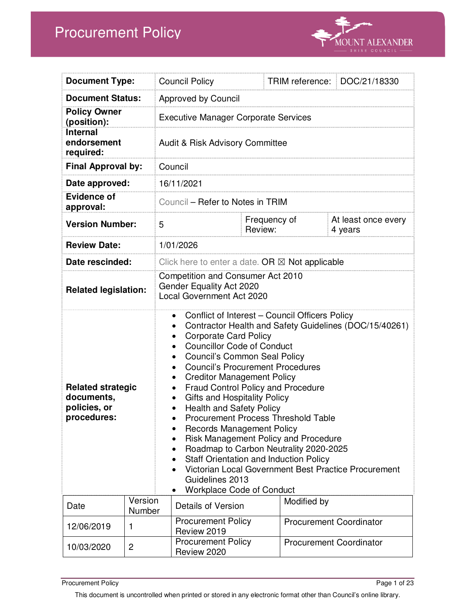# Procurement Policy



| <b>Document Type:</b>                                                                                                     |                   | <b>Council Policy</b>                                                                                                                                                                                                                                                                                                                                                                                                                                                                                                                                                                                                                                                                                                                                                                                               |                                                           | TRIM reference: | DOC/21/18330                   |
|---------------------------------------------------------------------------------------------------------------------------|-------------------|---------------------------------------------------------------------------------------------------------------------------------------------------------------------------------------------------------------------------------------------------------------------------------------------------------------------------------------------------------------------------------------------------------------------------------------------------------------------------------------------------------------------------------------------------------------------------------------------------------------------------------------------------------------------------------------------------------------------------------------------------------------------------------------------------------------------|-----------------------------------------------------------|-----------------|--------------------------------|
| <b>Document Status:</b>                                                                                                   |                   | <b>Approved by Council</b>                                                                                                                                                                                                                                                                                                                                                                                                                                                                                                                                                                                                                                                                                                                                                                                          |                                                           |                 |                                |
| <b>Policy Owner</b><br>(position):                                                                                        |                   | <b>Executive Manager Corporate Services</b>                                                                                                                                                                                                                                                                                                                                                                                                                                                                                                                                                                                                                                                                                                                                                                         |                                                           |                 |                                |
| <b>Internal</b><br>endorsement<br>required:                                                                               |                   | <b>Audit &amp; Risk Advisory Committee</b>                                                                                                                                                                                                                                                                                                                                                                                                                                                                                                                                                                                                                                                                                                                                                                          |                                                           |                 |                                |
| <b>Final Approval by:</b>                                                                                                 |                   | Council                                                                                                                                                                                                                                                                                                                                                                                                                                                                                                                                                                                                                                                                                                                                                                                                             |                                                           |                 |                                |
| Date approved:                                                                                                            |                   | 16/11/2021                                                                                                                                                                                                                                                                                                                                                                                                                                                                                                                                                                                                                                                                                                                                                                                                          |                                                           |                 |                                |
| <b>Evidence of</b><br>approval:                                                                                           |                   |                                                                                                                                                                                                                                                                                                                                                                                                                                                                                                                                                                                                                                                                                                                                                                                                                     | Council – Refer to Notes in TRIM                          |                 |                                |
| <b>Version Number:</b>                                                                                                    |                   | 5                                                                                                                                                                                                                                                                                                                                                                                                                                                                                                                                                                                                                                                                                                                                                                                                                   | Review:                                                   | Frequency of    | At least once every<br>4 years |
| <b>Review Date:</b>                                                                                                       |                   | 1/01/2026                                                                                                                                                                                                                                                                                                                                                                                                                                                                                                                                                                                                                                                                                                                                                                                                           |                                                           |                 |                                |
| Date rescinded:                                                                                                           |                   |                                                                                                                                                                                                                                                                                                                                                                                                                                                                                                                                                                                                                                                                                                                                                                                                                     | Click here to enter a date. OR $\boxtimes$ Not applicable |                 |                                |
| Competition and Consumer Act 2010<br>Gender Equality Act 2020<br><b>Related legislation:</b><br>Local Government Act 2020 |                   |                                                                                                                                                                                                                                                                                                                                                                                                                                                                                                                                                                                                                                                                                                                                                                                                                     |                                                           |                 |                                |
| <b>Related strategic</b><br>documents,<br>policies, or<br>procedures:                                                     |                   | Conflict of Interest - Council Officers Policy<br>Contractor Health and Safety Guidelines (DOC/15/40261)<br><b>Corporate Card Policy</b><br><b>Councillor Code of Conduct</b><br>$\bullet$<br><b>Council's Common Seal Policy</b><br>$\bullet$<br><b>Council's Procurement Procedures</b><br><b>Creditor Management Policy</b><br><b>Fraud Control Policy and Procedure</b><br><b>Gifts and Hospitality Policy</b><br>$\bullet$<br><b>Health and Safety Policy</b><br><b>Procurement Process Threshold Table</b><br><b>Records Management Policy</b><br>Risk Management Policy and Procedure<br>Roadmap to Carbon Neutrality 2020-2025<br>$\bullet$<br><b>Staff Orientation and Induction Policy</b><br>Victorian Local Government Best Practice Procurement<br>Guidelines 2013<br><b>Workplace Code of Conduct</b> |                                                           |                 |                                |
| Date                                                                                                                      | Version<br>Number |                                                                                                                                                                                                                                                                                                                                                                                                                                                                                                                                                                                                                                                                                                                                                                                                                     | Details of Version                                        | Modified by     |                                |
| 12/06/2019                                                                                                                | 1                 |                                                                                                                                                                                                                                                                                                                                                                                                                                                                                                                                                                                                                                                                                                                                                                                                                     | <b>Procurement Policy</b><br>Review 2019                  |                 | <b>Procurement Coordinator</b> |
| 10/03/2020                                                                                                                | $\overline{c}$    |                                                                                                                                                                                                                                                                                                                                                                                                                                                                                                                                                                                                                                                                                                                                                                                                                     | <b>Procurement Policy</b><br>Review 2020                  |                 | <b>Procurement Coordinator</b> |

**Procurement Policy** Page 1 of 23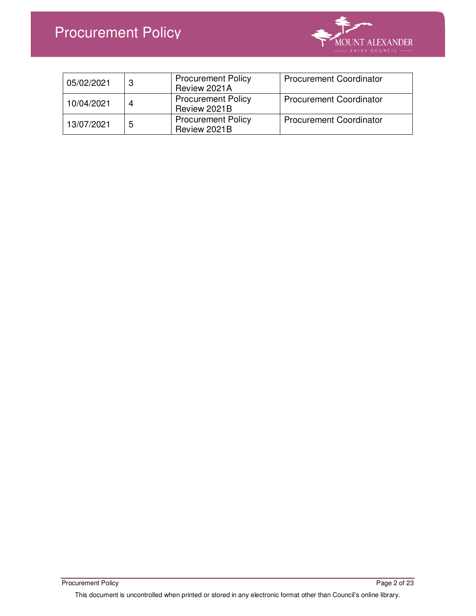# Procurement Policy



| 05/02/2021 |   | <b>Procurement Policy</b><br>Review 2021A | <b>Procurement Coordinator</b> |
|------------|---|-------------------------------------------|--------------------------------|
| 10/04/2021 | 4 | <b>Procurement Policy</b><br>Review 2021B | <b>Procurement Coordinator</b> |
| 13/07/2021 | 5 | <b>Procurement Policy</b><br>Review 2021B | <b>Procurement Coordinator</b> |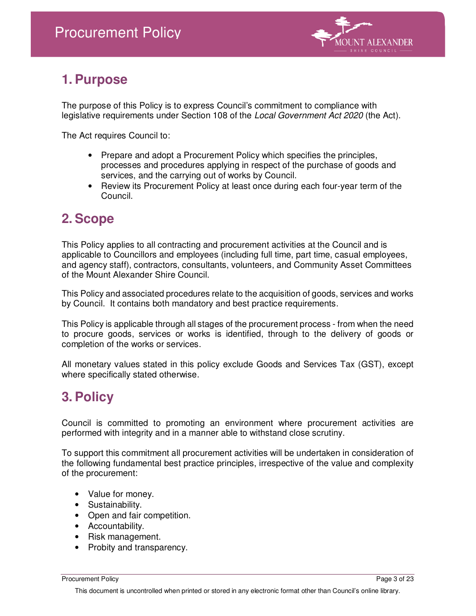

## **1. Purpose**

The purpose of this Policy is to express Council's commitment to compliance with legislative requirements under Section 108 of the Local Government Act 2020 (the Act).

The Act requires Council to:

- Prepare and adopt a Procurement Policy which specifies the principles, processes and procedures applying in respect of the purchase of goods and services, and the carrying out of works by Council.
- Review its Procurement Policy at least once during each four-year term of the Council.

### **2. Scope**

This Policy applies to all contracting and procurement activities at the Council and is applicable to Councillors and employees (including full time, part time, casual employees, and agency staff), contractors, consultants, volunteers, and Community Asset Committees of the Mount Alexander Shire Council.

This Policy and associated procedures relate to the acquisition of goods, services and works by Council. It contains both mandatory and best practice requirements.

This Policy is applicable through all stages of the procurement process - from when the need to procure goods, services or works is identified, through to the delivery of goods or completion of the works or services.

All monetary values stated in this policy exclude Goods and Services Tax (GST), except where specifically stated otherwise.

### **3. Policy**

Council is committed to promoting an environment where procurement activities are performed with integrity and in a manner able to withstand close scrutiny.

To support this commitment all procurement activities will be undertaken in consideration of the following fundamental best practice principles, irrespective of the value and complexity of the procurement:

- Value for money.
- Sustainability.
- Open and fair competition.
- Accountability.
- Risk management.
- Probity and transparency.

Procurement Policy Page 3 of 23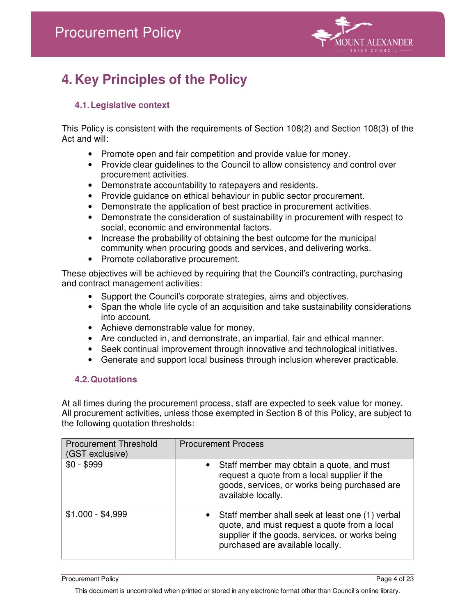

# **4. Key Principles of the Policy**

### **4.1. Legislative context**

This Policy is consistent with the requirements of Section 108(2) and Section 108(3) of the Act and will:

- Promote open and fair competition and provide value for money.
- Provide clear guidelines to the Council to allow consistency and control over procurement activities.
- Demonstrate accountability to ratepayers and residents.
- Provide guidance on ethical behaviour in public sector procurement.
- Demonstrate the application of best practice in procurement activities.
- Demonstrate the consideration of sustainability in procurement with respect to social, economic and environmental factors.
- Increase the probability of obtaining the best outcome for the municipal community when procuring goods and services, and delivering works.
- Promote collaborative procurement.

These objectives will be achieved by requiring that the Council's contracting, purchasing and contract management activities:

- Support the Council's corporate strategies, aims and objectives.
- Span the whole life cycle of an acquisition and take sustainability considerations into account.
- Achieve demonstrable value for money.
- Are conducted in, and demonstrate, an impartial, fair and ethical manner.
- Seek continual improvement through innovative and technological initiatives.
- Generate and support local business through inclusion wherever practicable.

#### **4.2. Quotations**

At all times during the procurement process, staff are expected to seek value for money. All procurement activities, unless those exempted in Section 8 of this Policy, are subject to the following quotation thresholds:

| <b>Procurement Threshold</b><br>(GST exclusive) | <b>Procurement Process</b>                                                                                                                                                               |
|-------------------------------------------------|------------------------------------------------------------------------------------------------------------------------------------------------------------------------------------------|
| $$0 - $999$                                     | • Staff member may obtain a quote, and must<br>request a quote from a local supplier if the<br>goods, services, or works being purchased are<br>available locally.                       |
| $$1,000 - $4,999$                               | • Staff member shall seek at least one (1) verbal<br>quote, and must request a quote from a local<br>supplier if the goods, services, or works being<br>purchased are available locally. |

Procurement Policy Page 4 of 23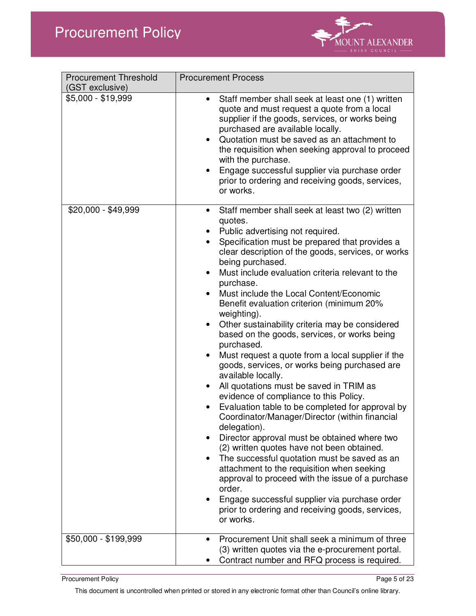

| <b>Procurement Threshold</b><br>(GST exclusive) | <b>Procurement Process</b>                                                                                                                                                                                                                                                                                                                                                                                                                                                                                                                                                                                                                                                                                                                                                                                                                                                                                                                                                                                                                                                                                                                                                                                                                                                                               |
|-------------------------------------------------|----------------------------------------------------------------------------------------------------------------------------------------------------------------------------------------------------------------------------------------------------------------------------------------------------------------------------------------------------------------------------------------------------------------------------------------------------------------------------------------------------------------------------------------------------------------------------------------------------------------------------------------------------------------------------------------------------------------------------------------------------------------------------------------------------------------------------------------------------------------------------------------------------------------------------------------------------------------------------------------------------------------------------------------------------------------------------------------------------------------------------------------------------------------------------------------------------------------------------------------------------------------------------------------------------------|
| \$5,000 - \$19,999                              | Staff member shall seek at least one (1) written<br>$\bullet$<br>quote and must request a quote from a local<br>supplier if the goods, services, or works being<br>purchased are available locally.<br>Quotation must be saved as an attachment to<br>the requisition when seeking approval to proceed<br>with the purchase.<br>Engage successful supplier via purchase order<br>prior to ordering and receiving goods, services,<br>or works.                                                                                                                                                                                                                                                                                                                                                                                                                                                                                                                                                                                                                                                                                                                                                                                                                                                           |
| \$20,000 - \$49,999                             | Staff member shall seek at least two (2) written<br>$\bullet$<br>quotes.<br>Public advertising not required.<br>Specification must be prepared that provides a<br>clear description of the goods, services, or works<br>being purchased.<br>Must include evaluation criteria relevant to the<br>$\bullet$<br>purchase.<br>Must include the Local Content/Economic<br>Benefit evaluation criterion (minimum 20%<br>weighting).<br>Other sustainability criteria may be considered<br>$\bullet$<br>based on the goods, services, or works being<br>purchased.<br>Must request a quote from a local supplier if the<br>$\bullet$<br>goods, services, or works being purchased are<br>available locally.<br>All quotations must be saved in TRIM as<br>evidence of compliance to this Policy.<br>Evaluation table to be completed for approval by<br>Coordinator/Manager/Director (within financial<br>delegation).<br>Director approval must be obtained where two<br>(2) written quotes have not been obtained.<br>The successful quotation must be saved as an<br>$\bullet$<br>attachment to the requisition when seeking<br>approval to proceed with the issue of a purchase<br>order.<br>Engage successful supplier via purchase order<br>prior to ordering and receiving goods, services,<br>or works. |
| \$50,000 - \$199,999                            | Procurement Unit shall seek a minimum of three<br>(3) written quotes via the e-procurement portal.<br>Contract number and RFQ process is required.                                                                                                                                                                                                                                                                                                                                                                                                                                                                                                                                                                                                                                                                                                                                                                                                                                                                                                                                                                                                                                                                                                                                                       |

Procurement Policy Page 5 of 23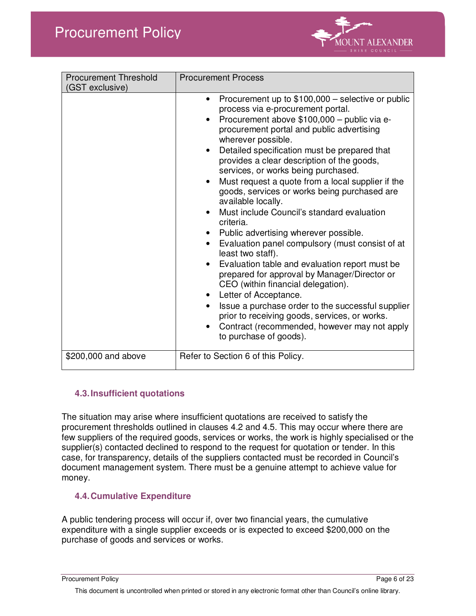

| <b>Procurement Threshold</b><br>(GST exclusive) | <b>Procurement Process</b>                                                                                                                                                                                                                                                                                                                                                                                                                                                                                                                                                                                                                                                                                                                                                                                                                                                                                                                                                                                           |  |
|-------------------------------------------------|----------------------------------------------------------------------------------------------------------------------------------------------------------------------------------------------------------------------------------------------------------------------------------------------------------------------------------------------------------------------------------------------------------------------------------------------------------------------------------------------------------------------------------------------------------------------------------------------------------------------------------------------------------------------------------------------------------------------------------------------------------------------------------------------------------------------------------------------------------------------------------------------------------------------------------------------------------------------------------------------------------------------|--|
|                                                 | Procurement up to \$100,000 – selective or public<br>process via e-procurement portal.<br>Procurement above \$100,000 - public via e-<br>procurement portal and public advertising<br>wherever possible.<br>Detailed specification must be prepared that<br>provides a clear description of the goods,<br>services, or works being purchased.<br>Must request a quote from a local supplier if the<br>goods, services or works being purchased are<br>available locally.<br>Must include Council's standard evaluation<br>criteria.<br>Public advertising wherever possible.<br>Evaluation panel compulsory (must consist of at<br>$\bullet$<br>least two staff).<br>Evaluation table and evaluation report must be<br>prepared for approval by Manager/Director or<br>CEO (within financial delegation).<br>• Letter of Acceptance.<br>Issue a purchase order to the successful supplier<br>prior to receiving goods, services, or works.<br>Contract (recommended, however may not apply<br>to purchase of goods). |  |
| \$200,000 and above                             | Refer to Section 6 of this Policy.                                                                                                                                                                                                                                                                                                                                                                                                                                                                                                                                                                                                                                                                                                                                                                                                                                                                                                                                                                                   |  |

### **4.3. Insufficient quotations**

The situation may arise where insufficient quotations are received to satisfy the procurement thresholds outlined in clauses 4.2 and 4.5. This may occur where there are few suppliers of the required goods, services or works, the work is highly specialised or the supplier(s) contacted declined to respond to the request for quotation or tender. In this case, for transparency, details of the suppliers contacted must be recorded in Council's document management system. There must be a genuine attempt to achieve value for money.

#### **4.4. Cumulative Expenditure**

A public tendering process will occur if, over two financial years, the cumulative expenditure with a single supplier exceeds or is expected to exceed \$200,000 on the purchase of goods and services or works.

Procurement Policy Page 6 of 23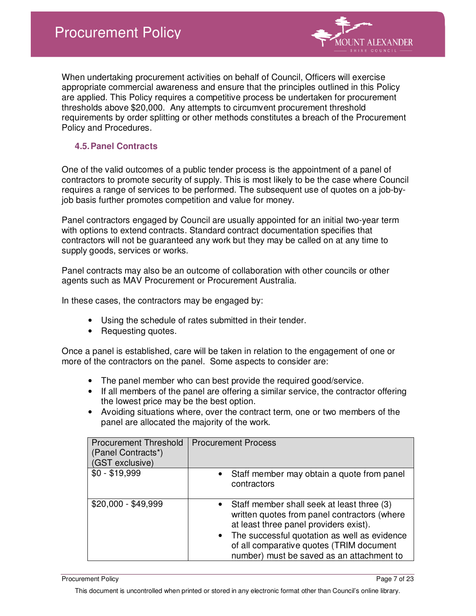

When undertaking procurement activities on behalf of Council, Officers will exercise appropriate commercial awareness and ensure that the principles outlined in this Policy are applied. This Policy requires a competitive process be undertaken for procurement thresholds above \$20,000. Any attempts to circumvent procurement threshold requirements by order splitting or other methods constitutes a breach of the Procurement Policy and Procedures.

#### **4.5. Panel Contracts**

One of the valid outcomes of a public tender process is the appointment of a panel of contractors to promote security of supply. This is most likely to be the case where Council requires a range of services to be performed. The subsequent use of quotes on a job-byjob basis further promotes competition and value for money.

Panel contractors engaged by Council are usually appointed for an initial two-year term with options to extend contracts. Standard contract documentation specifies that contractors will not be guaranteed any work but they may be called on at any time to supply goods, services or works.

Panel contracts may also be an outcome of collaboration with other councils or other agents such as MAV Procurement or Procurement Australia.

In these cases, the contractors may be engaged by:

- Using the schedule of rates submitted in their tender.
- Requesting quotes.

Once a panel is established, care will be taken in relation to the engagement of one or more of the contractors on the panel. Some aspects to consider are:

- The panel member who can best provide the required good/service.
- If all members of the panel are offering a similar service, the contractor offering the lowest price may be the best option.
- Avoiding situations where, over the contract term, one or two members of the panel are allocated the majority of the work.

| <b>Procurement Threshold</b><br>(Panel Contracts*)<br>(GST exclusive) | <b>Procurement Process</b>                                                                                                                                                                                                                 |
|-----------------------------------------------------------------------|--------------------------------------------------------------------------------------------------------------------------------------------------------------------------------------------------------------------------------------------|
| $$0 - $19,999$                                                        | Staff member may obtain a quote from panel<br>contractors                                                                                                                                                                                  |
| \$20,000 - \$49,999                                                   | Staff member shall seek at least three (3)<br>٠<br>written quotes from panel contractors (where<br>at least three panel providers exist).<br>The successful quotation as well as evidence<br>٠<br>of all comparative quotes (TRIM document |
|                                                                       | number) must be saved as an attachment to                                                                                                                                                                                                  |

Procurement Policy Page 7 of 23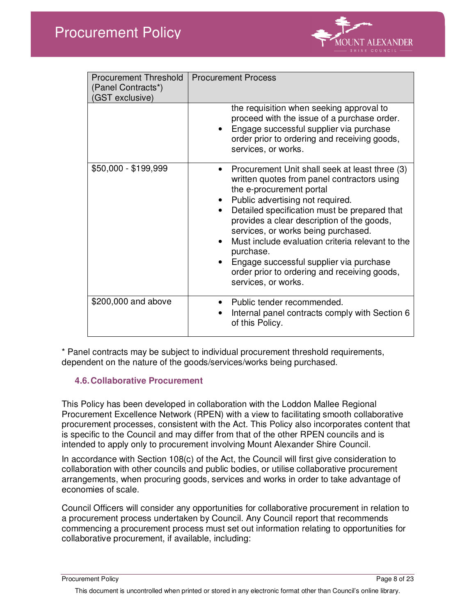

| <b>Procurement Threshold</b><br>(Panel Contracts*)<br>(GST exclusive) | <b>Procurement Process</b>                                                                                                                                                                                                                                                                                                                                                                                                                                                                         |
|-----------------------------------------------------------------------|----------------------------------------------------------------------------------------------------------------------------------------------------------------------------------------------------------------------------------------------------------------------------------------------------------------------------------------------------------------------------------------------------------------------------------------------------------------------------------------------------|
|                                                                       | the requisition when seeking approval to<br>proceed with the issue of a purchase order.<br>Engage successful supplier via purchase<br>order prior to ordering and receiving goods,<br>services, or works.                                                                                                                                                                                                                                                                                          |
| \$50,000 - \$199,999                                                  | Procurement Unit shall seek at least three (3)<br>written quotes from panel contractors using<br>the e-procurement portal<br>Public advertising not required.<br>Detailed specification must be prepared that<br>$\bullet$<br>provides a clear description of the goods,<br>services, or works being purchased.<br>Must include evaluation criteria relevant to the<br>purchase.<br>Engage successful supplier via purchase<br>order prior to ordering and receiving goods,<br>services, or works. |
| \$200,000 and above                                                   | Public tender recommended.<br>Internal panel contracts comply with Section 6<br>of this Policy.                                                                                                                                                                                                                                                                                                                                                                                                    |

\* Panel contracts may be subject to individual procurement threshold requirements, dependent on the nature of the goods/services/works being purchased.

### **4.6. Collaborative Procurement**

This Policy has been developed in collaboration with the Loddon Mallee Regional Procurement Excellence Network (RPEN) with a view to facilitating smooth collaborative procurement processes, consistent with the Act. This Policy also incorporates content that is specific to the Council and may differ from that of the other RPEN councils and is intended to apply only to procurement involving Mount Alexander Shire Council.

In accordance with Section 108(c) of the Act, the Council will first give consideration to collaboration with other councils and public bodies, or utilise collaborative procurement arrangements, when procuring goods, services and works in order to take advantage of economies of scale.

Council Officers will consider any opportunities for collaborative procurement in relation to a procurement process undertaken by Council. Any Council report that recommends commencing a procurement process must set out information relating to opportunities for collaborative procurement, if available, including:

Procurement Policy Page 8 of 23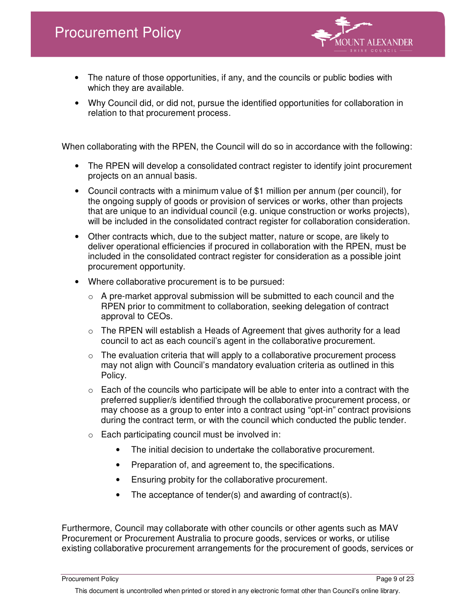

- The nature of those opportunities, if any, and the councils or public bodies with which they are available.
- Why Council did, or did not, pursue the identified opportunities for collaboration in relation to that procurement process.

When collaborating with the RPEN, the Council will do so in accordance with the following:

- The RPEN will develop a consolidated contract register to identify joint procurement projects on an annual basis.
- Council contracts with a minimum value of \$1 million per annum (per council), for the ongoing supply of goods or provision of services or works, other than projects that are unique to an individual council (e.g. unique construction or works projects), will be included in the consolidated contract register for collaboration consideration.
- Other contracts which, due to the subject matter, nature or scope, are likely to deliver operational efficiencies if procured in collaboration with the RPEN, must be included in the consolidated contract register for consideration as a possible joint procurement opportunity.
- Where collaborative procurement is to be pursued:
	- $\circ$  A pre-market approval submission will be submitted to each council and the RPEN prior to commitment to collaboration, seeking delegation of contract approval to CEOs.
	- $\circ$  The RPEN will establish a Heads of Agreement that gives authority for a lead council to act as each council's agent in the collaborative procurement.
	- $\circ$  The evaluation criteria that will apply to a collaborative procurement process may not align with Council's mandatory evaluation criteria as outlined in this Policy.
	- $\circ$  Each of the councils who participate will be able to enter into a contract with the preferred supplier/s identified through the collaborative procurement process, or may choose as a group to enter into a contract using "opt-in" contract provisions during the contract term, or with the council which conducted the public tender.
	- o Each participating council must be involved in:
		- The initial decision to undertake the collaborative procurement.
		- Preparation of, and agreement to, the specifications.
		- Ensuring probity for the collaborative procurement.
		- The acceptance of tender(s) and awarding of contract(s).

Furthermore, Council may collaborate with other councils or other agents such as MAV Procurement or Procurement Australia to procure goods, services or works, or utilise existing collaborative procurement arrangements for the procurement of goods, services or

Procurement Policy **Procurement Policy** Page 9 of 23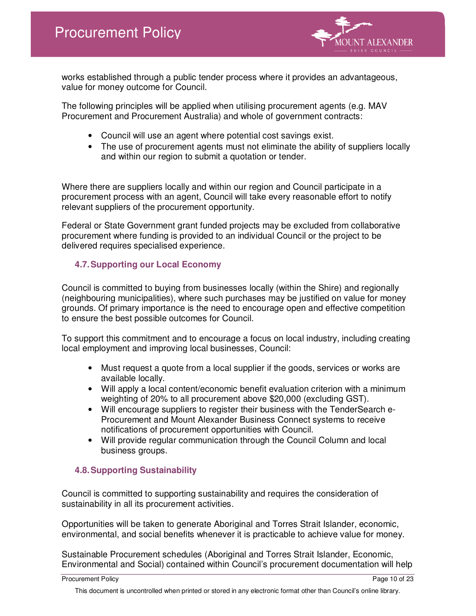

works established through a public tender process where it provides an advantageous, value for money outcome for Council.

The following principles will be applied when utilising procurement agents (e.g. MAV Procurement and Procurement Australia) and whole of government contracts:

- Council will use an agent where potential cost savings exist.
- The use of procurement agents must not eliminate the ability of suppliers locally and within our region to submit a quotation or tender.

Where there are suppliers locally and within our region and Council participate in a procurement process with an agent, Council will take every reasonable effort to notify relevant suppliers of the procurement opportunity.

Federal or State Government grant funded projects may be excluded from collaborative procurement where funding is provided to an individual Council or the project to be delivered requires specialised experience.

### **4.7. Supporting our Local Economy**

Council is committed to buying from businesses locally (within the Shire) and regionally (neighbouring municipalities), where such purchases may be justified on value for money grounds. Of primary importance is the need to encourage open and effective competition to ensure the best possible outcomes for Council.

To support this commitment and to encourage a focus on local industry, including creating local employment and improving local businesses, Council:

- Must request a quote from a local supplier if the goods, services or works are available locally.
- Will apply a local content/economic benefit evaluation criterion with a minimum weighting of 20% to all procurement above \$20,000 (excluding GST).
- Will encourage suppliers to register their business with the TenderSearch e-Procurement and Mount Alexander Business Connect systems to receive notifications of procurement opportunities with Council.
- Will provide regular communication through the Council Column and local business groups.

### **4.8. Supporting Sustainability**

Council is committed to supporting sustainability and requires the consideration of sustainability in all its procurement activities.

Opportunities will be taken to generate Aboriginal and Torres Strait Islander, economic, environmental, and social benefits whenever it is practicable to achieve value for money.

Sustainable Procurement schedules (Aboriginal and Torres Strait Islander, Economic, Environmental and Social) contained within Council's procurement documentation will help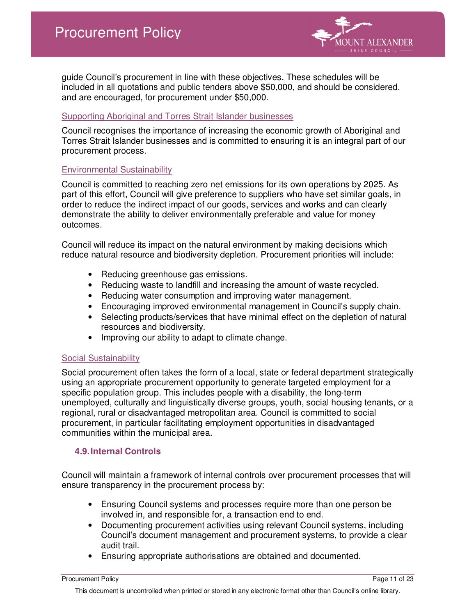

guide Council's procurement in line with these objectives. These schedules will be included in all quotations and public tenders above \$50,000, and should be considered, and are encouraged, for procurement under \$50,000.

#### Supporting Aboriginal and Torres Strait Islander businesses

Council recognises the importance of increasing the economic growth of Aboriginal and Torres Strait Islander businesses and is committed to ensuring it is an integral part of our procurement process.

#### Environmental Sustainability

Council is committed to reaching zero net emissions for its own operations by 2025. As part of this effort, Council will give preference to suppliers who have set similar goals, in order to reduce the indirect impact of our goods, services and works and can clearly demonstrate the ability to deliver environmentally preferable and value for money outcomes.

Council will reduce its impact on the natural environment by making decisions which reduce natural resource and biodiversity depletion. Procurement priorities will include:

- Reducing greenhouse gas emissions.
- Reducing waste to landfill and increasing the amount of waste recycled.
- Reducing water consumption and improving water management.
- Encouraging improved environmental management in Council's supply chain.
- Selecting products/services that have minimal effect on the depletion of natural resources and biodiversity.
- Improving our ability to adapt to climate change.

#### Social Sustainability

Social procurement often takes the form of a local, state or federal department strategically using an appropriate procurement opportunity to generate targeted employment for a specific population group. This includes people with a disability, the long-term unemployed, culturally and linguistically diverse groups, youth, social housing tenants, or a regional, rural or disadvantaged metropolitan area. Council is committed to social procurement, in particular facilitating employment opportunities in disadvantaged communities within the municipal area.

### **4.9. Internal Controls**

Council will maintain a framework of internal controls over procurement processes that will ensure transparency in the procurement process by:

- Ensuring Council systems and processes require more than one person be involved in, and responsible for, a transaction end to end.
- Documenting procurement activities using relevant Council systems, including Council's document management and procurement systems, to provide a clear audit trail.
- Ensuring appropriate authorisations are obtained and documented.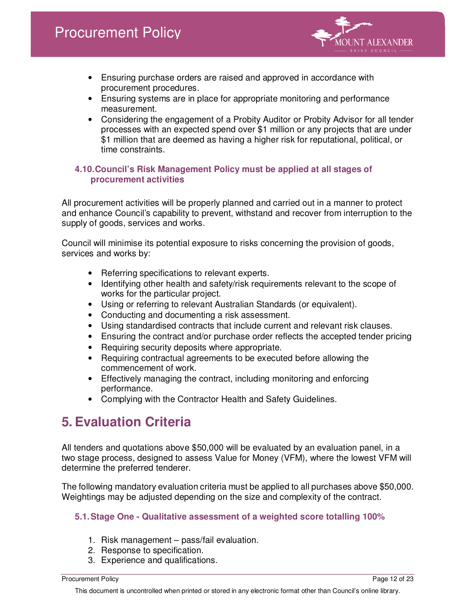

- Ensuring purchase orders are raised and approved in accordance with procurement procedures.
- Ensuring systems are in place for appropriate monitoring and performance measurement.
- Considering the engagement of a Probity Auditor or Probity Advisor for all tender processes with an expected spend over \$1 million or any projects that are under \$1 million that are deemed as having a higher risk for reputational, political, or time constraints.

#### **4.10. Council's Risk Management Policy must be applied at all stages of procurement activities**

All procurement activities will be properly planned and carried out in a manner to protect and enhance Council's capability to prevent, withstand and recover from interruption to the supply of goods, services and works.

Council will minimise its potential exposure to risks concerning the provision of goods, services and works by:

- Referring specifications to relevant experts.
- Identifying other health and safety/risk requirements relevant to the scope of works for the particular project.
- Using or referring to relevant Australian Standards (or equivalent).
- Conducting and documenting a risk assessment.
- Using standardised contracts that include current and relevant risk clauses.
- Ensuring the contract and/or purchase order reflects the accepted tender pricing
- Requiring security deposits where appropriate.
- Requiring contractual agreements to be executed before allowing the commencement of work.
- Effectively managing the contract, including monitoring and enforcing performance.
- Complying with the Contractor Health and Safety Guidelines.

## **5. Evaluation Criteria**

All tenders and quotations above \$50,000 will be evaluated by an evaluation panel, in a two stage process, designed to assess Value for Money (VFM), where the lowest VFM will determine the preferred tenderer.

The following mandatory evaluation criteria must be applied to all purchases above \$50,000. Weightings may be adjusted depending on the size and complexity of the contract.

### **5.1. Stage One - Qualitative assessment of a weighted score totalling 100%**

- 1. Risk management pass/fail evaluation.
- 2. Response to specification.
- 3. Experience and qualifications.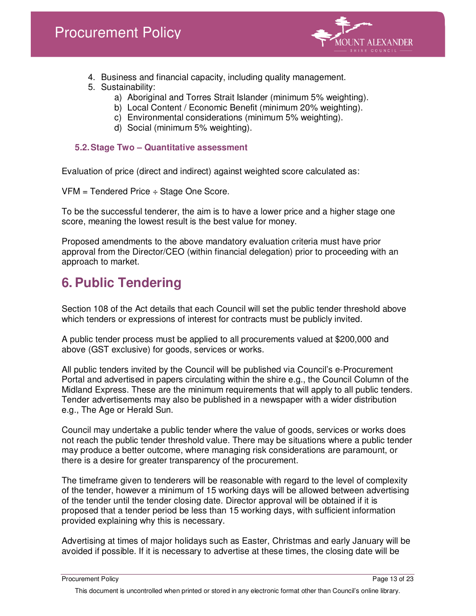

- 4. Business and financial capacity, including quality management.
- 5. Sustainability:
	- a) Aboriginal and Torres Strait Islander (minimum 5% weighting).
	- b) Local Content / Economic Benefit (minimum 20% weighting).
	- c) Environmental considerations (minimum 5% weighting).
	- d) Social (minimum 5% weighting).

### **5.2. Stage Two – Quantitative assessment**

Evaluation of price (direct and indirect) against weighted score calculated as:

VFM = Tendered Price ÷ Stage One Score.

To be the successful tenderer, the aim is to have a lower price and a higher stage one score, meaning the lowest result is the best value for money.

Proposed amendments to the above mandatory evaluation criteria must have prior approval from the Director/CEO (within financial delegation) prior to proceeding with an approach to market.

# **6. Public Tendering**

Section 108 of the Act details that each Council will set the public tender threshold above which tenders or expressions of interest for contracts must be publicly invited.

A public tender process must be applied to all procurements valued at \$200,000 and above (GST exclusive) for goods, services or works.

All public tenders invited by the Council will be published via Council's e-Procurement Portal and advertised in papers circulating within the shire e.g., the Council Column of the Midland Express. These are the minimum requirements that will apply to all public tenders. Tender advertisements may also be published in a newspaper with a wider distribution e.g., The Age or Herald Sun.

Council may undertake a public tender where the value of goods, services or works does not reach the public tender threshold value. There may be situations where a public tender may produce a better outcome, where managing risk considerations are paramount, or there is a desire for greater transparency of the procurement.

The timeframe given to tenderers will be reasonable with regard to the level of complexity of the tender, however a minimum of 15 working days will be allowed between advertising of the tender until the tender closing date. Director approval will be obtained if it is proposed that a tender period be less than 15 working days, with sufficient information provided explaining why this is necessary.

Advertising at times of major holidays such as Easter, Christmas and early January will be avoided if possible. If it is necessary to advertise at these times, the closing date will be

Procurement Policy **Procurement Policy Procurement Policy Procurement Policy Procurement Policy**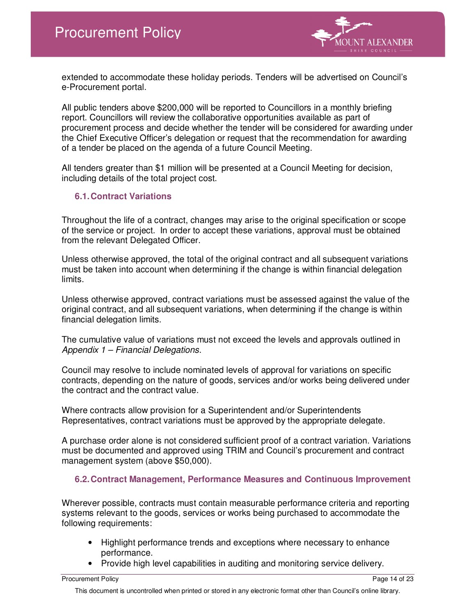

extended to accommodate these holiday periods. Tenders will be advertised on Council's e-Procurement portal.

All public tenders above \$200,000 will be reported to Councillors in a monthly briefing report. Councillors will review the collaborative opportunities available as part of procurement process and decide whether the tender will be considered for awarding under the Chief Executive Officer's delegation or request that the recommendation for awarding of a tender be placed on the agenda of a future Council Meeting.

All tenders greater than \$1 million will be presented at a Council Meeting for decision, including details of the total project cost.

#### **6.1. Contract Variations**

Throughout the life of a contract, changes may arise to the original specification or scope of the service or project. In order to accept these variations, approval must be obtained from the relevant Delegated Officer.

Unless otherwise approved, the total of the original contract and all subsequent variations must be taken into account when determining if the change is within financial delegation limits.

Unless otherwise approved, contract variations must be assessed against the value of the original contract, and all subsequent variations, when determining if the change is within financial delegation limits.

The cumulative value of variations must not exceed the levels and approvals outlined in Appendix 1 – Financial Delegations.

Council may resolve to include nominated levels of approval for variations on specific contracts, depending on the nature of goods, services and/or works being delivered under the contract and the contract value.

Where contracts allow provision for a Superintendent and/or Superintendents Representatives, contract variations must be approved by the appropriate delegate.

A purchase order alone is not considered sufficient proof of a contract variation. Variations must be documented and approved using TRIM and Council's procurement and contract management system (above \$50,000).

#### **6.2. Contract Management, Performance Measures and Continuous Improvement**

Wherever possible, contracts must contain measurable performance criteria and reporting systems relevant to the goods, services or works being purchased to accommodate the following requirements:

- Highlight performance trends and exceptions where necessary to enhance performance.
- Provide high level capabilities in auditing and monitoring service delivery.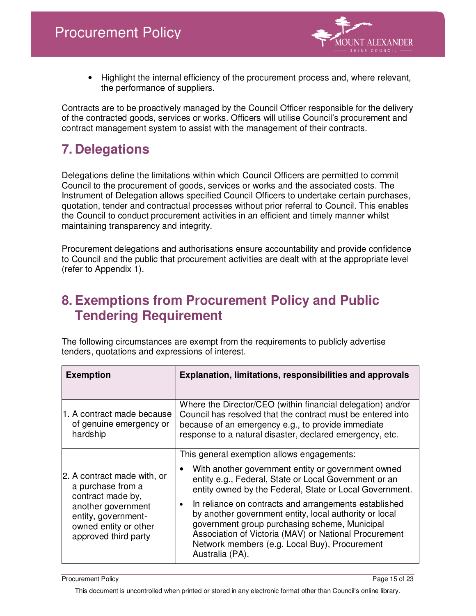

• Highlight the internal efficiency of the procurement process and, where relevant, the performance of suppliers.

Contracts are to be proactively managed by the Council Officer responsible for the delivery of the contracted goods, services or works. Officers will utilise Council's procurement and contract management system to assist with the management of their contracts.

# **7. Delegations**

Delegations define the limitations within which Council Officers are permitted to commit Council to the procurement of goods, services or works and the associated costs. The Instrument of Delegation allows specified Council Officers to undertake certain purchases, quotation, tender and contractual processes without prior referral to Council. This enables the Council to conduct procurement activities in an efficient and timely manner whilst maintaining transparency and integrity.

Procurement delegations and authorisations ensure accountability and provide confidence to Council and the public that procurement activities are dealt with at the appropriate level (refer to Appendix 1).

### **8. Exemptions from Procurement Policy and Public Tendering Requirement**

The following circumstances are exempt from the requirements to publicly advertise tenders, quotations and expressions of interest.

| <b>Exemption</b>                                                                                                                                                    | <b>Explanation, limitations, responsibilities and approvals</b>                                                                                                                                                                                                                                                                                                                                                                                                                                                                    |
|---------------------------------------------------------------------------------------------------------------------------------------------------------------------|------------------------------------------------------------------------------------------------------------------------------------------------------------------------------------------------------------------------------------------------------------------------------------------------------------------------------------------------------------------------------------------------------------------------------------------------------------------------------------------------------------------------------------|
| 1. A contract made because<br>of genuine emergency or<br>hardship                                                                                                   | Where the Director/CEO (within financial delegation) and/or<br>Council has resolved that the contract must be entered into<br>because of an emergency e.g., to provide immediate<br>response to a natural disaster, declared emergency, etc.                                                                                                                                                                                                                                                                                       |
| 2. A contract made with, or<br>a purchase from a<br>contract made by,<br>another government<br>entity, government-<br>owned entity or other<br>approved third party | This general exemption allows engagements:<br>With another government entity or government owned<br>entity e.g., Federal, State or Local Government or an<br>entity owned by the Federal, State or Local Government.<br>In reliance on contracts and arrangements established<br>$\bullet$<br>by another government entity, local authority or local<br>government group purchasing scheme, Municipal<br>Association of Victoria (MAV) or National Procurement<br>Network members (e.g. Local Buy), Procurement<br>Australia (PA). |

Procurement Policy Page 15 of 23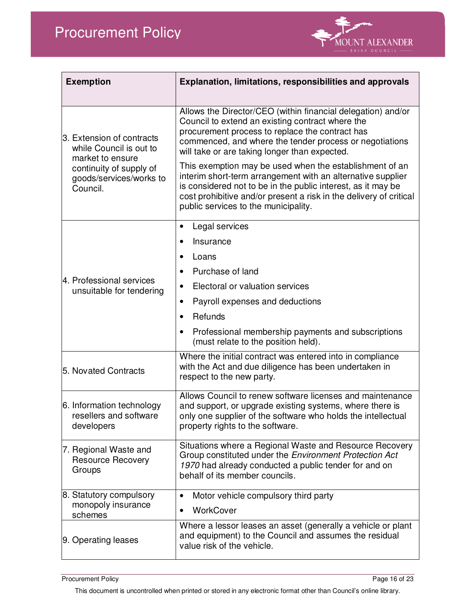

| <b>Exemption</b>                                                                                                                           | <b>Explanation, limitations, responsibilities and approvals</b>                                                                                                                                                                                                                                                                                                                                                                                                                                                                                                                         |
|--------------------------------------------------------------------------------------------------------------------------------------------|-----------------------------------------------------------------------------------------------------------------------------------------------------------------------------------------------------------------------------------------------------------------------------------------------------------------------------------------------------------------------------------------------------------------------------------------------------------------------------------------------------------------------------------------------------------------------------------------|
| 3. Extension of contracts<br>while Council is out to<br>market to ensure<br>continuity of supply of<br>goods/services/works to<br>Council. | Allows the Director/CEO (within financial delegation) and/or<br>Council to extend an existing contract where the<br>procurement process to replace the contract has<br>commenced, and where the tender process or negotiations<br>will take or are taking longer than expected.<br>This exemption may be used when the establishment of an<br>interim short-term arrangement with an alternative supplier<br>is considered not to be in the public interest, as it may be<br>cost prohibitive and/or present a risk in the delivery of critical<br>public services to the municipality. |
| 4. Professional services<br>unsuitable for tendering                                                                                       | Legal services<br>Insurance<br>Loans<br>Purchase of land<br>Electoral or valuation services<br>Payroll expenses and deductions<br>$\bullet$<br>Refunds<br>$\bullet$<br>Professional membership payments and subscriptions<br>$\bullet$<br>(must relate to the position held).                                                                                                                                                                                                                                                                                                           |
| 5. Novated Contracts                                                                                                                       | Where the initial contract was entered into in compliance<br>with the Act and due diligence has been undertaken in<br>respect to the new party.                                                                                                                                                                                                                                                                                                                                                                                                                                         |
| 6. Information technology<br>resellers and software<br>developers                                                                          | Allows Council to renew software licenses and maintenance<br>and support, or upgrade existing systems, where there is<br>only one supplier of the software who holds the intellectual<br>property rights to the software.                                                                                                                                                                                                                                                                                                                                                               |
| 7. Regional Waste and<br><b>Resource Recovery</b><br>Groups                                                                                | Situations where a Regional Waste and Resource Recovery<br>Group constituted under the Environment Protection Act<br>1970 had already conducted a public tender for and on<br>behalf of its member councils.                                                                                                                                                                                                                                                                                                                                                                            |
| 8. Statutory compulsory<br>monopoly insurance<br>schemes                                                                                   | Motor vehicle compulsory third party<br>$\bullet$<br>WorkCover                                                                                                                                                                                                                                                                                                                                                                                                                                                                                                                          |
| 9. Operating leases                                                                                                                        | Where a lessor leases an asset (generally a vehicle or plant<br>and equipment) to the Council and assumes the residual<br>value risk of the vehicle.                                                                                                                                                                                                                                                                                                                                                                                                                                    |

Procurement Policy Page 16 of 23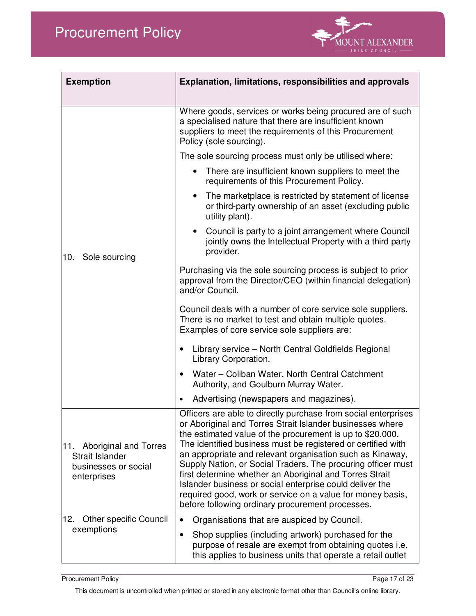

| <b>Exemption</b>                                                                       | <b>Explanation, limitations, responsibilities and approvals</b>                                                                                                                                                                                                                                                                                                                                                                                                                                                                                                                                                                |  |
|----------------------------------------------------------------------------------------|--------------------------------------------------------------------------------------------------------------------------------------------------------------------------------------------------------------------------------------------------------------------------------------------------------------------------------------------------------------------------------------------------------------------------------------------------------------------------------------------------------------------------------------------------------------------------------------------------------------------------------|--|
|                                                                                        | Where goods, services or works being procured are of such<br>a specialised nature that there are insufficient known<br>suppliers to meet the requirements of this Procurement<br>Policy (sole sourcing).                                                                                                                                                                                                                                                                                                                                                                                                                       |  |
|                                                                                        | The sole sourcing process must only be utilised where:                                                                                                                                                                                                                                                                                                                                                                                                                                                                                                                                                                         |  |
|                                                                                        | There are insufficient known suppliers to meet the<br>requirements of this Procurement Policy.                                                                                                                                                                                                                                                                                                                                                                                                                                                                                                                                 |  |
| Sole sourcing<br>10.                                                                   | The marketplace is restricted by statement of license<br>$\bullet$<br>or third-party ownership of an asset (excluding public<br>utility plant).                                                                                                                                                                                                                                                                                                                                                                                                                                                                                |  |
|                                                                                        | Council is party to a joint arrangement where Council<br>$\bullet$<br>jointly owns the Intellectual Property with a third party<br>provider.                                                                                                                                                                                                                                                                                                                                                                                                                                                                                   |  |
|                                                                                        | Purchasing via the sole sourcing process is subject to prior<br>approval from the Director/CEO (within financial delegation)<br>and/or Council.                                                                                                                                                                                                                                                                                                                                                                                                                                                                                |  |
|                                                                                        | Council deals with a number of core service sole suppliers.<br>There is no market to test and obtain multiple quotes.<br>Examples of core service sole suppliers are:                                                                                                                                                                                                                                                                                                                                                                                                                                                          |  |
|                                                                                        | Library service - North Central Goldfields Regional<br>$\bullet$<br>Library Corporation.                                                                                                                                                                                                                                                                                                                                                                                                                                                                                                                                       |  |
|                                                                                        | Water – Coliban Water, North Central Catchment<br>$\bullet$<br>Authority, and Goulburn Murray Water.                                                                                                                                                                                                                                                                                                                                                                                                                                                                                                                           |  |
|                                                                                        | Advertising (newspapers and magazines).<br>$\bullet$                                                                                                                                                                                                                                                                                                                                                                                                                                                                                                                                                                           |  |
| 11.<br>Aboriginal and Torres<br>Strait Islander<br>businesses or social<br>enterprises | Officers are able to directly purchase from social enterprises<br>or Aboriginal and Torres Strait Islander businesses where<br>the estimated value of the procurement is up to \$20,000.<br>The identified business must be registered or certified with<br>an appropriate and relevant organisation such as Kinaway,<br>Supply Nation, or Social Traders. The procuring officer must<br>first determine whether an Aboriginal and Torres Strait<br>Islander business or social enterprise could deliver the<br>required good, work or service on a value for money basis,<br>before following ordinary procurement processes. |  |
| <b>Other specific Council</b><br>12.<br>exemptions                                     | Organisations that are auspiced by Council.<br>$\bullet$                                                                                                                                                                                                                                                                                                                                                                                                                                                                                                                                                                       |  |
|                                                                                        | Shop supplies (including artwork) purchased for the<br>purpose of resale are exempt from obtaining quotes i.e.<br>this applies to business units that operate a retail outlet                                                                                                                                                                                                                                                                                                                                                                                                                                                  |  |

Procurement Policy Page 17 of 23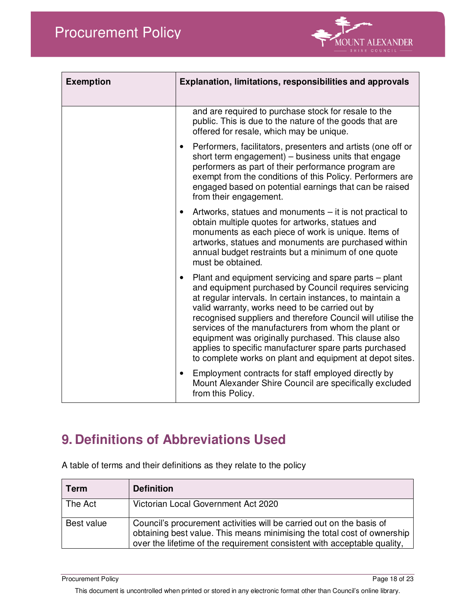

| <b>Exemption</b> | Explanation, limitations, responsibilities and approvals                                                                                                                                                                                                                                                                                                                                                                                                                                                                            |
|------------------|-------------------------------------------------------------------------------------------------------------------------------------------------------------------------------------------------------------------------------------------------------------------------------------------------------------------------------------------------------------------------------------------------------------------------------------------------------------------------------------------------------------------------------------|
|                  | and are required to purchase stock for resale to the<br>public. This is due to the nature of the goods that are<br>offered for resale, which may be unique.                                                                                                                                                                                                                                                                                                                                                                         |
|                  | Performers, facilitators, presenters and artists (one off or<br>short term engagement) - business units that engage<br>performers as part of their performance program are<br>exempt from the conditions of this Policy. Performers are<br>engaged based on potential earnings that can be raised<br>from their engagement.                                                                                                                                                                                                         |
|                  | Artworks, statues and monuments – it is not practical to<br>$\bullet$<br>obtain multiple quotes for artworks, statues and<br>monuments as each piece of work is unique. Items of<br>artworks, statues and monuments are purchased within<br>annual budget restraints but a minimum of one quote<br>must be obtained.                                                                                                                                                                                                                |
|                  | Plant and equipment servicing and spare parts – plant<br>and equipment purchased by Council requires servicing<br>at regular intervals. In certain instances, to maintain a<br>valid warranty, works need to be carried out by<br>recognised suppliers and therefore Council will utilise the<br>services of the manufacturers from whom the plant or<br>equipment was originally purchased. This clause also<br>applies to specific manufacturer spare parts purchased<br>to complete works on plant and equipment at depot sites. |
|                  | Employment contracts for staff employed directly by<br>$\bullet$<br>Mount Alexander Shire Council are specifically excluded<br>from this Policy.                                                                                                                                                                                                                                                                                                                                                                                    |

# **9. Definitions of Abbreviations Used**

| <b>Term</b> | <b>Definition</b>                                                                                                                                                                                                           |
|-------------|-----------------------------------------------------------------------------------------------------------------------------------------------------------------------------------------------------------------------------|
| The Act     | Victorian Local Government Act 2020                                                                                                                                                                                         |
| Best value  | Council's procurement activities will be carried out on the basis of<br>obtaining best value. This means minimising the total cost of ownership<br>over the lifetime of the requirement consistent with acceptable quality, |

A table of terms and their definitions as they relate to the policy

Procurement Policy Page 18 of 23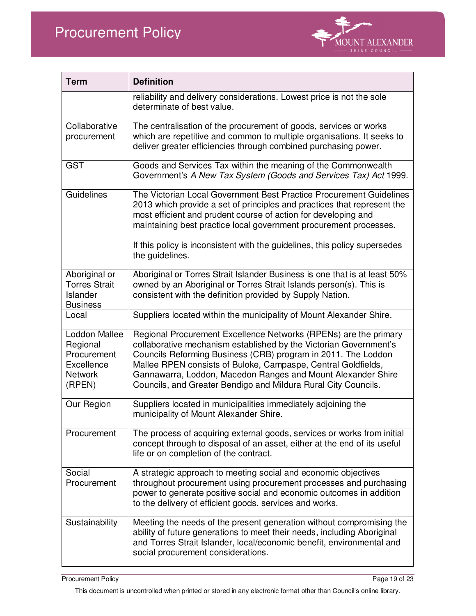

| <b>Term</b>                                                                               | <b>Definition</b>                                                                                                                                                                                                                                                                                                                                                                                         |
|-------------------------------------------------------------------------------------------|-----------------------------------------------------------------------------------------------------------------------------------------------------------------------------------------------------------------------------------------------------------------------------------------------------------------------------------------------------------------------------------------------------------|
|                                                                                           | reliability and delivery considerations. Lowest price is not the sole<br>determinate of best value.                                                                                                                                                                                                                                                                                                       |
| Collaborative<br>procurement                                                              | The centralisation of the procurement of goods, services or works<br>which are repetitive and common to multiple organisations. It seeks to<br>deliver greater efficiencies through combined purchasing power.                                                                                                                                                                                            |
| <b>GST</b>                                                                                | Goods and Services Tax within the meaning of the Commonwealth<br>Government's A New Tax System (Goods and Services Tax) Act 1999.                                                                                                                                                                                                                                                                         |
| Guidelines                                                                                | The Victorian Local Government Best Practice Procurement Guidelines<br>2013 which provide a set of principles and practices that represent the<br>most efficient and prudent course of action for developing and<br>maintaining best practice local government procurement processes.<br>If this policy is inconsistent with the guidelines, this policy supersedes<br>the guidelines.                    |
| Aboriginal or<br><b>Torres Strait</b><br><b>Islander</b><br><b>Business</b>               | Aboriginal or Torres Strait Islander Business is one that is at least 50%<br>owned by an Aboriginal or Torres Strait Islands person(s). This is<br>consistent with the definition provided by Supply Nation.                                                                                                                                                                                              |
| Local                                                                                     | Suppliers located within the municipality of Mount Alexander Shire.                                                                                                                                                                                                                                                                                                                                       |
| <b>Loddon Mallee</b><br>Regional<br>Procurement<br>Excellence<br><b>Network</b><br>(RPEN) | Regional Procurement Excellence Networks (RPENs) are the primary<br>collaborative mechanism established by the Victorian Government's<br>Councils Reforming Business (CRB) program in 2011. The Loddon<br>Mallee RPEN consists of Buloke, Campaspe, Central Goldfields,<br>Gannawarra, Loddon, Macedon Ranges and Mount Alexander Shire<br>Councils, and Greater Bendigo and Mildura Rural City Councils. |
| Our Region                                                                                | Suppliers located in municipalities immediately adjoining the<br>municipality of Mount Alexander Shire.                                                                                                                                                                                                                                                                                                   |
| Procurement                                                                               | The process of acquiring external goods, services or works from initial<br>concept through to disposal of an asset, either at the end of its useful<br>life or on completion of the contract.                                                                                                                                                                                                             |
| Social<br>Procurement                                                                     | A strategic approach to meeting social and economic objectives<br>throughout procurement using procurement processes and purchasing<br>power to generate positive social and economic outcomes in addition<br>to the delivery of efficient goods, services and works.                                                                                                                                     |
| Sustainability                                                                            | Meeting the needs of the present generation without compromising the<br>ability of future generations to meet their needs, including Aboriginal<br>and Torres Strait Islander, local/economic benefit, environmental and<br>social procurement considerations.                                                                                                                                            |

Procurement Policy Page 19 of 23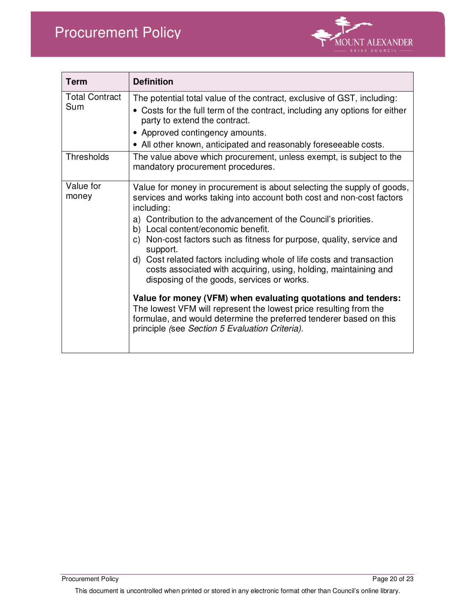

| <b>Term</b>                  | <b>Definition</b>                                                                                                                                                                                                                                                                                                                                                                                                                                                                                                                                                                                                                                                                                                                                                                                                       |
|------------------------------|-------------------------------------------------------------------------------------------------------------------------------------------------------------------------------------------------------------------------------------------------------------------------------------------------------------------------------------------------------------------------------------------------------------------------------------------------------------------------------------------------------------------------------------------------------------------------------------------------------------------------------------------------------------------------------------------------------------------------------------------------------------------------------------------------------------------------|
| <b>Total Contract</b><br>Sum | The potential total value of the contract, exclusive of GST, including:<br>• Costs for the full term of the contract, including any options for either<br>party to extend the contract.<br>• Approved contingency amounts.<br>• All other known, anticipated and reasonably foreseeable costs.                                                                                                                                                                                                                                                                                                                                                                                                                                                                                                                          |
| <b>Thresholds</b>            | The value above which procurement, unless exempt, is subject to the<br>mandatory procurement procedures.                                                                                                                                                                                                                                                                                                                                                                                                                                                                                                                                                                                                                                                                                                                |
| Value for<br>money           | Value for money in procurement is about selecting the supply of goods,<br>services and works taking into account both cost and non-cost factors<br>including:<br>a) Contribution to the advancement of the Council's priorities.<br>b) Local content/economic benefit.<br>Non-cost factors such as fitness for purpose, quality, service and<br>C)<br>support.<br>d) Cost related factors including whole of life costs and transaction<br>costs associated with acquiring, using, holding, maintaining and<br>disposing of the goods, services or works.<br>Value for money (VFM) when evaluating quotations and tenders:<br>The lowest VFM will represent the lowest price resulting from the<br>formulae, and would determine the preferred tenderer based on this<br>principle (see Section 5 Evaluation Criteria). |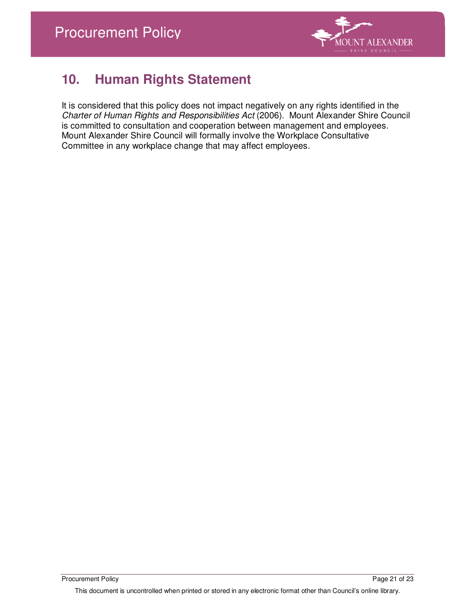

# **10. Human Rights Statement**

It is considered that this policy does not impact negatively on any rights identified in the Charter of Human Rights and Responsibilities Act (2006). Mount Alexander Shire Council is committed to consultation and cooperation between management and employees. Mount Alexander Shire Council will formally involve the Workplace Consultative Committee in any workplace change that may affect employees.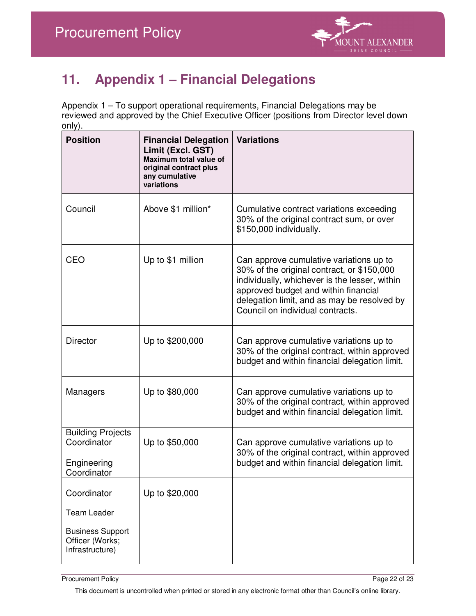

# **11. Appendix 1 – Financial Delegations**

Appendix 1 – To support operational requirements, Financial Delegations may be reviewed and approved by the Chief Executive Officer (positions from Director level down only).

| <b>Position</b>                                                                                    | <b>Financial Delegation</b><br>Limit (Excl. GST)<br>Maximum total value of<br>original contract plus<br>any cumulative<br>variations | <b>Variations</b>                                                                                                                                                                                                                                                 |
|----------------------------------------------------------------------------------------------------|--------------------------------------------------------------------------------------------------------------------------------------|-------------------------------------------------------------------------------------------------------------------------------------------------------------------------------------------------------------------------------------------------------------------|
| Council                                                                                            | Above \$1 million*                                                                                                                   | Cumulative contract variations exceeding<br>30% of the original contract sum, or over<br>\$150,000 individually.                                                                                                                                                  |
| CEO                                                                                                | Up to \$1 million                                                                                                                    | Can approve cumulative variations up to<br>30% of the original contract, or \$150,000<br>individually, whichever is the lesser, within<br>approved budget and within financial<br>delegation limit, and as may be resolved by<br>Council on individual contracts. |
| <b>Director</b>                                                                                    | Up to \$200,000                                                                                                                      | Can approve cumulative variations up to<br>30% of the original contract, within approved<br>budget and within financial delegation limit.                                                                                                                         |
| Managers                                                                                           | Up to \$80,000                                                                                                                       | Can approve cumulative variations up to<br>30% of the original contract, within approved<br>budget and within financial delegation limit.                                                                                                                         |
| <b>Building Projects</b><br>Coordinator<br>Engineering<br>Coordinator                              | Up to \$50,000                                                                                                                       | Can approve cumulative variations up to<br>30% of the original contract, within approved<br>budget and within financial delegation limit.                                                                                                                         |
| Coordinator<br><b>Team Leader</b><br><b>Business Support</b><br>Officer (Works;<br>Infrastructure) | Up to \$20,000                                                                                                                       |                                                                                                                                                                                                                                                                   |

Procurement Policy Page 22 of 23